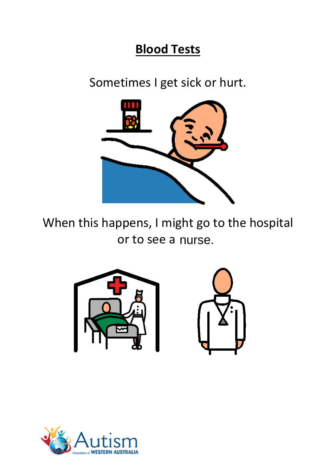## **Blood Tests**

Sometimes I get sick or hurt.



When this happens, I might go to the hospital or to see a nurse.



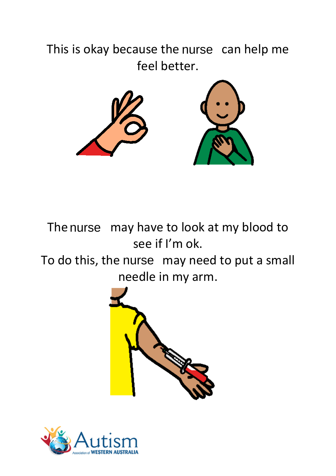This is okay because the nurse can help me feel better.



The nurse may have to look at my blood to see if I'm ok.

To do this, the nurse may need to put a small needle in my arm.



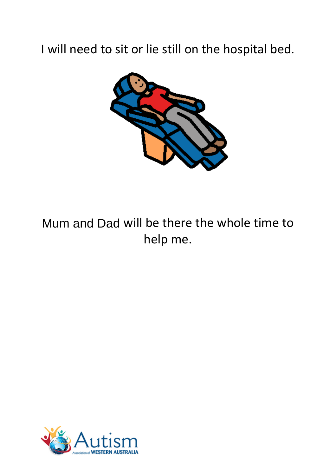## I will need to sit or lie still on the hospital bed.



## Mum and Dad will be there the whole time to Mum and Dadhelp me.

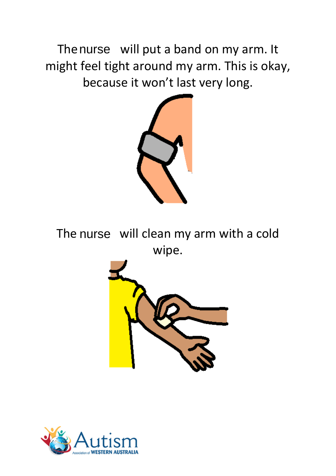The nurse will put a band on my arm. It might feel tight around my arm. This is okay, because it won't last very long.



The nurse will clean my arm with a cold wipe.



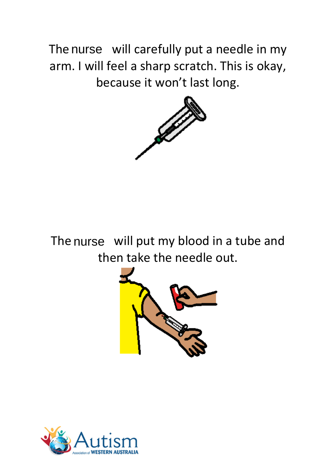The nurse will carefully put a needle in my arm. I will feel a sharp scratch. This is okay, because it won't last long.



The nurse will put my blood in a tube and then take the needle out.



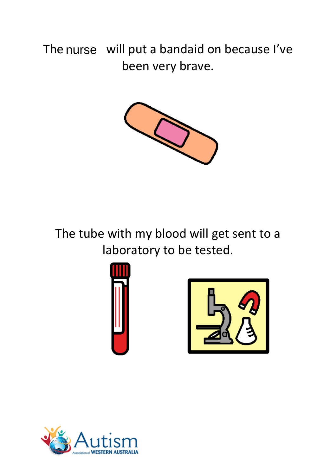## The nurse will put a bandaid on because l've been very brave.



The tube with my blood will get sent to a laboratory to be tested.